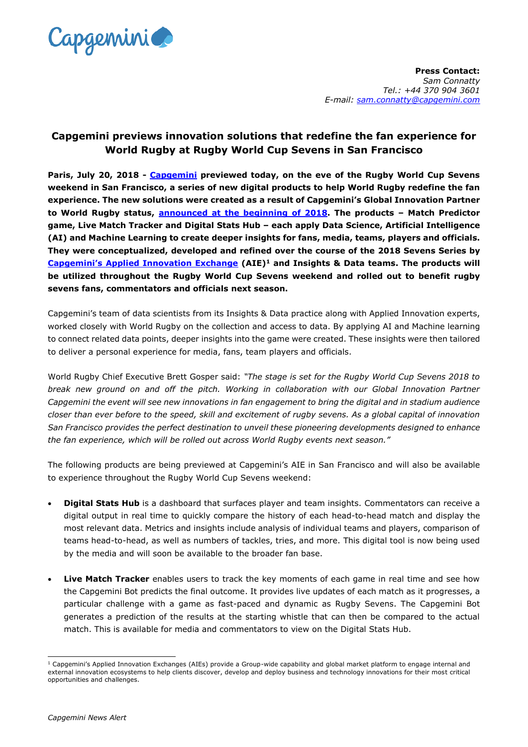

## **Capgemini previews innovation solutions that redefine the fan experience for World Rugby at Rugby World Cup Sevens in San Francisco**

**Paris, July 20, 2018 - [Capgemini](https://www.capgemini.com/) previewed today, on the eve of the Rugby World Cup Sevens weekend in San Francisco, a series of new digital products to help World Rugby redefine the fan experience. The new solutions were created as a result of Capgemini's Global Innovation Partner to World Rugby status, [announced at the beginning of 2018.](https://www.capgemini.com/news/capgemini-becomes-global-innovation-partner-for-the-hsbc-world-rugby-sevens-series/) The products – Match Predictor game, Live Match Tracker and Digital Stats Hub – each apply Data Science, Artificial Intelligence (AI) and Machine Learning to create deeper insights for fans, media, teams, players and officials. They were conceptualized, developed and refined over the course of the 2018 Sevens Series by Capgemini's [Applied Innovation Exchange](https://www.capgemini.com/service/transformation-innovation/applied-innovation-exchange/) (AIE)<sup>1</sup> and Insights & Data teams. The products will be utilized throughout the Rugby World Cup Sevens weekend and rolled out to benefit rugby sevens fans, commentators and officials next season.** 

Capgemini's team of data scientists from its Insights & Data practice along with Applied Innovation experts, worked closely with World Rugby on the collection and access to data. By applying AI and Machine learning to connect related data points, deeper insights into the game were created. These insights were then tailored to deliver a personal experience for media, fans, team players and officials.

World Rugby Chief Executive Brett Gosper said: *"The stage is set for the Rugby World Cup Sevens 2018 to break new ground on and off the pitch. Working in collaboration with our Global Innovation Partner Capgemini the event will see new innovations in fan engagement to bring the digital and in stadium audience closer than ever before to the speed, skill and excitement of rugby sevens. As a global capital of innovation San Francisco provides the perfect destination to unveil these pioneering developments designed to enhance the fan experience, which will be rolled out across World Rugby events next season."*

The following products are being previewed at Capgemini's AIE in San Francisco and will also be available to experience throughout the Rugby World Cup Sevens weekend:

- **Digital Stats Hub** is a dashboard that surfaces player and team insights. Commentators can receive a digital output in real time to quickly compare the history of each head-to-head match and display the most relevant data. Metrics and insights include analysis of individual teams and players, comparison of teams head-to-head, as well as numbers of tackles, tries, and more. This digital tool is now being used by the media and will soon be available to the broader fan base.
- **Live Match Tracker** enables users to track the key moments of each game in real time and see how the Capgemini Bot predicts the final outcome. It provides live updates of each match as it progresses, a particular challenge with a game as fast-paced and dynamic as Rugby Sevens. The Capgemini Bot generates a prediction of the results at the starting whistle that can then be compared to the actual match. This is available for media and commentators to view on the Digital Stats Hub.

<sup>-</sup> $1$  Capgemini's Applied Innovation Exchanges (AIEs) provide a Group-wide capability and global market platform to engage internal and external innovation ecosystems to help clients discover, develop and deploy business and technology innovations for their most critical opportunities and challenges.